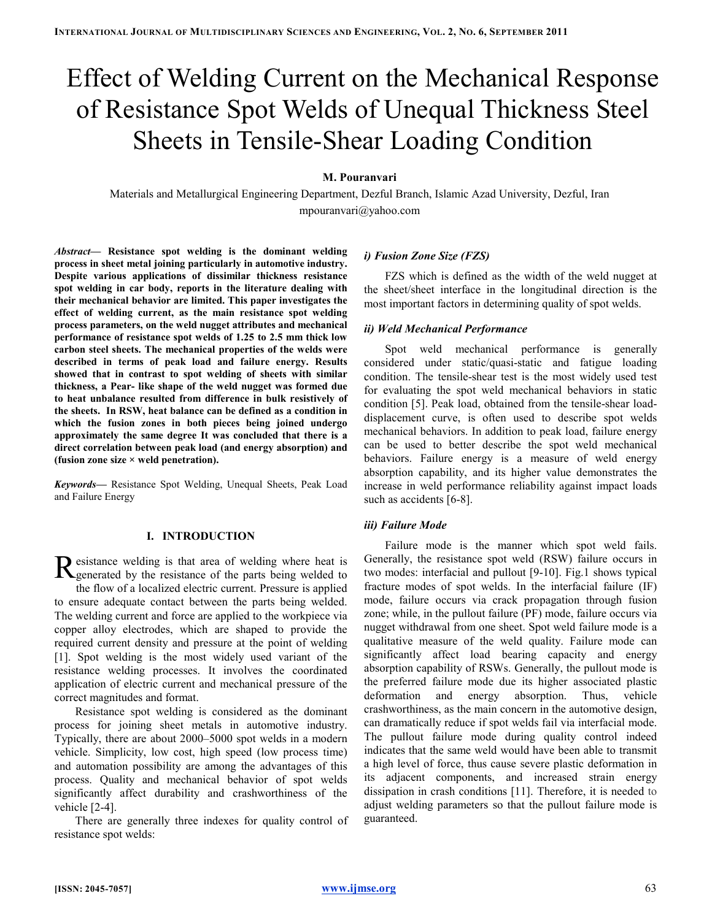# Effect of Welding Current on the Mechanical Response of Resistance Spot Welds of Unequal Thickness Steel Sheets in Tensile-Shear Loading Condition

# M. Pouranvari

Materials and Metallurgical Engineering Department, Dezful Branch, Islamic Azad University, Dezful, Iran mpouranvari@yahoo.com

Abstract— Resistance spot welding is the dominant welding process in sheet metal joining particularly in automotive industry. Despite various applications of dissimilar thickness resistance spot welding in car body, reports in the literature dealing with their mechanical behavior are limited. This paper investigates the effect of welding current, as the main resistance spot welding process parameters, on the weld nugget attributes and mechanical performance of resistance spot welds of 1.25 to 2.5 mm thick low carbon steel sheets. The mechanical properties of the welds were described in terms of peak load and failure energy. Results showed that in contrast to spot welding of sheets with similar thickness, a Pear- like shape of the weld nugget was formed due to heat unbalance resulted from difference in bulk resistively of the sheets. In RSW, heat balance can be defined as a condition in which the fusion zones in both pieces being joined undergo approximately the same degree It was concluded that there is a direct correlation between peak load (and energy absorption) and (fusion zone size  $\times$  weld penetration).

Keywords— Resistance Spot Welding, Unequal Sheets, Peak Load and Failure Energy

# I. INTRODUCTION

esistance welding is that area of welding where heat is Resistance welding is that area of welding where heat is generated by the resistance of the parts being welded to the flow of a localized electric current. Pressure is applied to ensure adequate contact between the parts being welded. The welding current and force are applied to the workpiece via copper alloy electrodes, which are shaped to provide the required current density and pressure at the point of welding [1]. Spot welding is the most widely used variant of the resistance welding processes. It involves the coordinated application of electric current and mechanical pressure of the correct magnitudes and format.

Resistance spot welding is considered as the dominant process for joining sheet metals in automotive industry. Typically, there are about 2000–5000 spot welds in a modern vehicle. Simplicity, low cost, high speed (low process time) and automation possibility are among the advantages of this process. Quality and mechanical behavior of spot welds significantly affect durability and crashworthiness of the vehicle [2-4].

There are generally three indexes for quality control of resistance spot welds:

# i) Fusion Zone Size (FZS)

FZS which is defined as the width of the weld nugget at the sheet/sheet interface in the longitudinal direction is the most important factors in determining quality of spot welds.

## ii) Weld Mechanical Performance

Spot weld mechanical performance is generally considered under static/quasi-static and fatigue loading condition. The tensile-shear test is the most widely used test for evaluating the spot weld mechanical behaviors in static condition [5]. Peak load, obtained from the tensile-shear loaddisplacement curve, is often used to describe spot welds mechanical behaviors. In addition to peak load, failure energy can be used to better describe the spot weld mechanical behaviors. Failure energy is a measure of weld energy absorption capability, and its higher value demonstrates the increase in weld performance reliability against impact loads such as accidents [6-8].

# iii) Failure Mode

Failure mode is the manner which spot weld fails. Generally, the resistance spot weld (RSW) failure occurs in two modes: interfacial and pullout [9-10]. Fig.1 shows typical fracture modes of spot welds. In the interfacial failure (IF) mode, failure occurs via crack propagation through fusion zone; while, in the pullout failure (PF) mode, failure occurs via nugget withdrawal from one sheet. Spot weld failure mode is a qualitative measure of the weld quality. Failure mode can significantly affect load bearing capacity and energy absorption capability of RSWs. Generally, the pullout mode is the preferred failure mode due its higher associated plastic deformation and energy absorption. Thus, vehicle crashworthiness, as the main concern in the automotive design, can dramatically reduce if spot welds fail via interfacial mode. The pullout failure mode during quality control indeed indicates that the same weld would have been able to transmit a high level of force, thus cause severe plastic deformation in its adjacent components, and increased strain energy dissipation in crash conditions [11]. Therefore, it is needed to adjust welding parameters so that the pullout failure mode is guaranteed.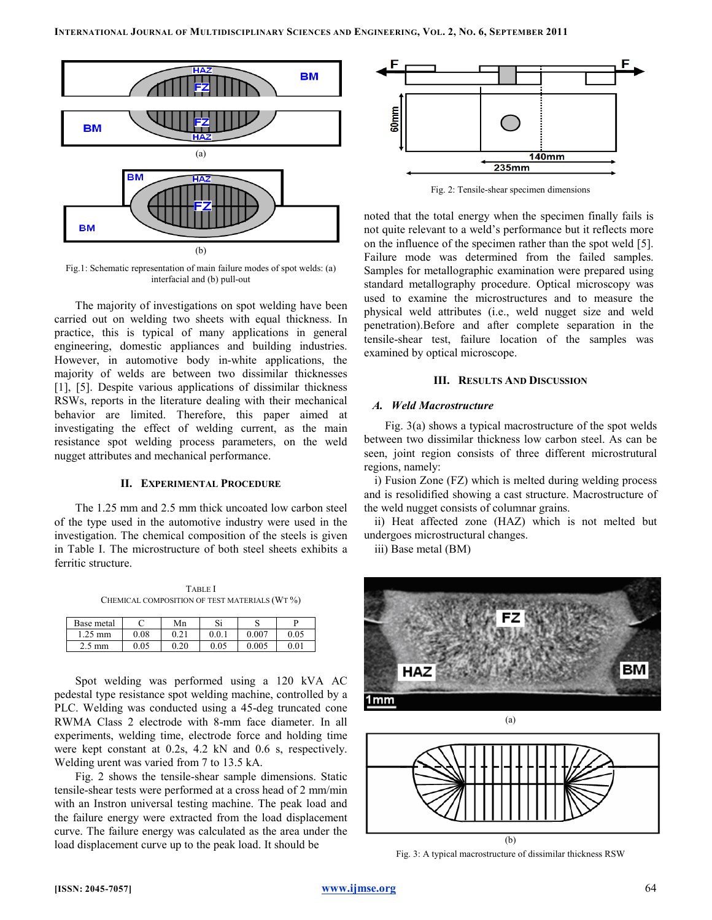

Fig.1: Schematic representation of main failure modes of spot welds: (a) interfacial and (b) pull-out

The majority of investigations on spot welding have been carried out on welding two sheets with equal thickness. In practice, this is typical of many applications in general engineering, domestic appliances and building industries. However, in automotive body in-white applications, the majority of welds are between two dissimilar thicknesses [1], [5]. Despite various applications of dissimilar thickness RSWs, reports in the literature dealing with their mechanical behavior are limited. Therefore, this paper aimed at investigating the effect of welding current, as the main resistance spot welding process parameters, on the weld nugget attributes and mechanical performance.

## II. EXPERIMENTAL PROCEDURE

The 1.25 mm and 2.5 mm thick uncoated low carbon steel of the type used in the automotive industry were used in the investigation. The chemical composition of the steels is given in Table I. The microstructure of both steel sheets exhibits a ferritic structure.

TABLE I CHEMICAL COMPOSITION OF TEST MATERIALS (WT %)

| Base metal |      | Mn      | Si   |      |
|------------|------|---------|------|------|
| 1.25<br>mm | 0.08 | 0.21    | 0.0. | 0.05 |
| 2.5<br>mm  | 0.05 | 20<br>∩ | 0.05 | 0.01 |

Spot welding was performed using a 120 kVA AC pedestal type resistance spot welding machine, controlled by a PLC. Welding was conducted using a 45-deg truncated cone RWMA Class 2 electrode with 8-mm face diameter. In all experiments, welding time, electrode force and holding time were kept constant at 0.2s, 4.2 kN and 0.6 s, respectively. Welding urent was varied from 7 to 13.5 kA.

Fig. 2 shows the tensile-shear sample dimensions. Static tensile-shear tests were performed at a cross head of 2 mm/min with an Instron universal testing machine. The peak load and the failure energy were extracted from the load displacement curve. The failure energy was calculated as the area under the load displacement curve up to the peak load. It should be



Fig. 2: Tensile-shear specimen dimensions

noted that the total energy when the specimen finally fails is not quite relevant to a weld's performance but it reflects more on the influence of the specimen rather than the spot weld [5]. Failure mode was determined from the failed samples. Samples for metallographic examination were prepared using standard metallography procedure. Optical microscopy was used to examine the microstructures and to measure the physical weld attributes (i.e., weld nugget size and weld penetration).Before and after complete separation in the tensile-shear test, failure location of the samples was examined by optical microscope.

## III. RESULTS AND DISCUSSION

## A. Weld Macrostructure

Fig. 3(a) shows a typical macrostructure of the spot welds between two dissimilar thickness low carbon steel. As can be seen, joint region consists of three different microstrutural regions, namely:

i) Fusion Zone (FZ) which is melted during welding process and is resolidified showing a cast structure. Macrostructure of the weld nugget consists of columnar grains.

ii) Heat affected zone (HAZ) which is not melted but undergoes microstructural changes.

iii) Base metal (BM)





Fig. 3: A typical macrostructure of dissimilar thickness RSW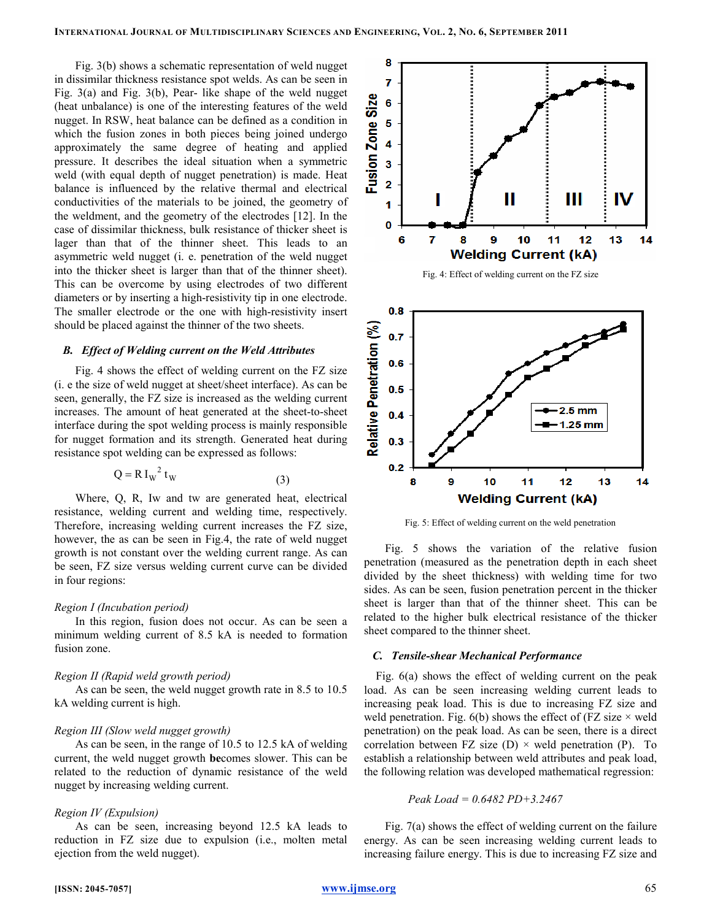Fig. 3(b) shows a schematic representation of weld nugget in dissimilar thickness resistance spot welds. As can be seen in Fig. 3(a) and Fig. 3(b), Pear- like shape of the weld nugget (heat unbalance) is one of the interesting features of the weld nugget. In RSW, heat balance can be defined as a condition in which the fusion zones in both pieces being joined undergo approximately the same degree of heating and applied pressure. It describes the ideal situation when a symmetric weld (with equal depth of nugget penetration) is made. Heat balance is influenced by the relative thermal and electrical conductivities of the materials to be joined, the geometry of the weldment, and the geometry of the electrodes [12]. In the case of dissimilar thickness, bulk resistance of thicker sheet is lager than that of the thinner sheet. This leads to an asymmetric weld nugget (i. e. penetration of the weld nugget into the thicker sheet is larger than that of the thinner sheet). This can be overcome by using electrodes of two different diameters or by inserting a high-resistivity tip in one electrode. The smaller electrode or the one with high-resistivity insert should be placed against the thinner of the two sheets.

# B. Effect of Welding current on the Weld Attributes

Fig. 4 shows the effect of welding current on the FZ size (i. e the size of weld nugget at sheet/sheet interface). As can be seen, generally, the FZ size is increased as the welding current increases. The amount of heat generated at the sheet-to-sheet interface during the spot welding process is mainly responsible for nugget formation and its strength. Generated heat during resistance spot welding can be expressed as follows:

$$
Q = R I_w^2 t_w \tag{3}
$$

Where, Q, R, Iw and tw are generated heat, electrical resistance, welding current and welding time, respectively. Therefore, increasing welding current increases the FZ size, however, the as can be seen in Fig.4, the rate of weld nugget growth is not constant over the welding current range. As can be seen, FZ size versus welding current curve can be divided in four regions:

## Region I (Incubation period)

In this region, fusion does not occur. As can be seen a minimum welding current of 8.5 kA is needed to formation fusion zone.

#### Region II (Rapid weld growth period)

As can be seen, the weld nugget growth rate in 8.5 to 10.5 kA welding current is high.

## Region III (Slow weld nugget growth)

As can be seen, in the range of 10.5 to 12.5 kA of welding current, the weld nugget growth becomes slower. This can be related to the reduction of dynamic resistance of the weld nugget by increasing welding current.

## Region IV (Expulsion)

As can be seen, increasing beyond 12.5 kA leads to reduction in FZ size due to expulsion (i.e., molten metal ejection from the weld nugget).





Fig. 5: Effect of welding current on the weld penetration

Fig. 5 shows the variation of the relative fusion penetration (measured as the penetration depth in each sheet divided by the sheet thickness) with welding time for two sides. As can be seen, fusion penetration percent in the thicker sheet is larger than that of the thinner sheet. This can be related to the higher bulk electrical resistance of the thicker sheet compared to the thinner sheet.

#### C. Tensile-shear Mechanical Performance

Fig. 6(a) shows the effect of welding current on the peak load. As can be seen increasing welding current leads to increasing peak load. This is due to increasing FZ size and weld penetration. Fig.  $6(b)$  shows the effect of (FZ size  $\times$  weld penetration) on the peak load. As can be seen, there is a direct correlation between FZ size  $(D) \times$  weld penetration  $(P)$ . To establish a relationship between weld attributes and peak load, the following relation was developed mathematical regression:

$$
Peak\;Load = 0.6482\; PD + 3.2467
$$

Fig. 7(a) shows the effect of welding current on the failure energy. As can be seen increasing welding current leads to increasing failure energy. This is due to increasing FZ size and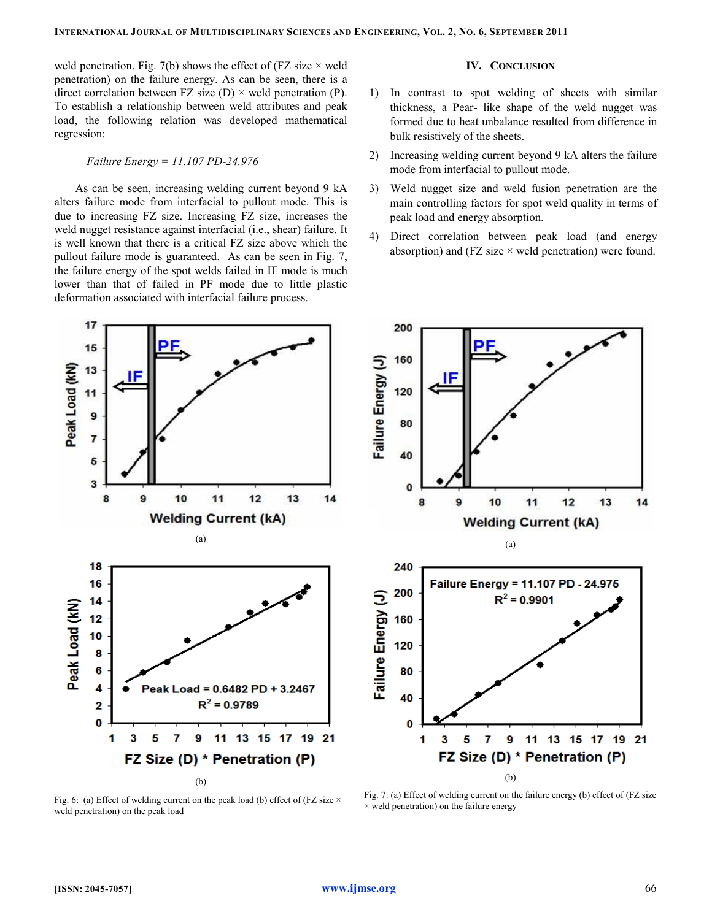weld penetration. Fig. 7(b) shows the effect of (FZ size  $\times$  weld penetration) on the failure energy. As can be seen, there is a direct correlation between FZ size (D)  $\times$  weld penetration (P). To establish a relationship between weld attributes and peak load, the following relation was developed mathematical regression:

# Failure Energy = 11.107 PD-24.976

As can be seen, increasing welding current beyond 9 kA alters failure mode from interfacial to pullout mode. This is due to increasing FZ size. Increasing FZ size, increases the weld nugget resistance against interfacial (i.e., shear) failure. It is well known that there is a critical FZ size above which the pullout failure mode is guaranteed. As can be seen in Fig. 7, the failure energy of the spot welds failed in IF mode is much lower than that of failed in PF mode due to little plastic deformation associated with interfacial failure process.

# IV. CONCLUSION

- 1) In contrast to spot welding of sheets with similar thickness, a Pear- like shape of the weld nugget was formed due to heat unbalance resulted from difference in bulk resistively of the sheets.
- 2) Increasing welding current beyond 9 kA alters the failure mode from interfacial to pullout mode.
- 3) Weld nugget size and weld fusion penetration are the main controlling factors for spot weld quality in terms of peak load and energy absorption.
- 4) Direct correlation between peak load (and energy absorption) and (FZ size  $\times$  weld penetration) were found.



Fig. 6: (a) Effect of welding current on the peak load (b) effect of (FZ size  $\times$ weld penetration) on the peak load

Fig. 7: (a) Effect of welding current on the failure energy (b) effect of (FZ size  $\times$  weld penetration) on the failure energy